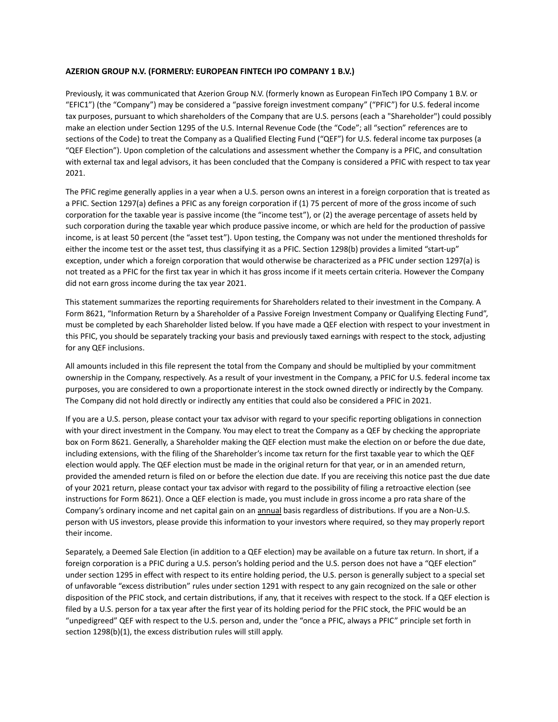## **AZERION GROUP N.V. (FORMERLY: EUROPEAN FINTECH IPO COMPANY 1 B.V.)**

Previously, it was communicated that Azerion Group N.V. (formerly known as European FinTech IPO Company 1 B.V. or "EFIC1") (the "Company") may be considered a "passive foreign investment company" ("PFIC") for U.S. federal income tax purposes, pursuant to which shareholders of the Company that are U.S. persons (each a "Shareholder") could possibly make an election under Section 1295 of the U.S. Internal Revenue Code (the "Code"; all "section" references are to sections of the Code) to treat the Company as a Qualified Electing Fund ("QEF") for U.S. federal income tax purposes (a "QEF Election"). Upon completion of the calculations and assessment whether the Company is a PFIC, and consultation with external tax and legal advisors, it has been concluded that the Company is considered a PFIC with respect to tax year 2021.

The PFIC regime generally applies in a year when a U.S. person owns an interest in a foreign corporation that is treated as a PFIC. Section 1297(a) defines a PFIC as any foreign corporation if (1) 75 percent of more of the gross income of such corporation for the taxable year is passive income (the "income test"), or (2) the average percentage of assets held by such corporation during the taxable year which produce passive income, or which are held for the production of passive income, is at least 50 percent (the "asset test"). Upon testing, the Company was not under the mentioned thresholds for either the income test or the asset test, thus classifying it as a PFIC. Section 1298(b) provides a limited "start-up" exception, under which a foreign corporation that would otherwise be characterized as a PFIC under section 1297(a) is not treated as a PFIC for the first tax year in which it has gross income if it meets certain criteria. However the Company did not earn gross income during the tax year 2021.

This statement summarizes the reporting requirements for Shareholders related to their investment in the Company. A Form 8621, "Information Return by a Shareholder of a Passive Foreign Investment Company or Qualifying Electing Fund", must be completed by each Shareholder listed below. If you have made a QEF election with respect to your investment in this PFIC, you should be separately tracking your basis and previously taxed earnings with respect to the stock, adjusting for any QEF inclusions.

All amounts included in this file represent the total from the Company and should be multiplied by your commitment ownership in the Company, respectively. As a result of your investment in the Company, a PFIC for U.S. federal income tax purposes, you are considered to own a proportionate interest in the stock owned directly or indirectly by the Company. The Company did not hold directly or indirectly any entities that could also be considered a PFIC in 2021.

If you are a U.S. person, please contact your tax advisor with regard to your specific reporting obligations in connection with your direct investment in the Company. You may elect to treat the Company as a QEF by checking the appropriate box on Form 8621. Generally, a Shareholder making the QEF election must make the election on or before the due date, including extensions, with the filing of the Shareholder's income tax return for the first taxable year to which the QEF election would apply. The QEF election must be made in the original return for that year, or in an amended return, provided the amended return is filed on or before the election due date. If you are receiving this notice past the due date of your 2021 return, please contact your tax advisor with regard to the possibility of filing a retroactive election (see instructions for Form 8621). Once a QEF election is made, you must include in gross income a pro rata share of the Company's ordinary income and net capital gain on an annual basis regardless of distributions. If you are a Non-U.S. person with US investors, please provide this information to your investors where required, so they may properly report their income.

Separately, a Deemed Sale Election (in addition to a QEF election) may be available on a future tax return. In short, if a foreign corporation is a PFIC during a U.S. person's holding period and the U.S. person does not have a "QEF election" under section 1295 in effect with respect to its entire holding period, the U.S. person is generally subject to a special set of unfavorable "excess distribution" rules under section 1291 with respect to any gain recognized on the sale or other disposition of the PFIC stock, and certain distributions, if any, that it receives with respect to the stock. If a QEF election is filed by a U.S. person for a tax year after the first year of its holding period for the PFIC stock, the PFIC would be an "unpedigreed" QEF with respect to the U.S. person and, under the "once a PFIC, always a PFIC" principle set forth in section 1298(b)(1), the excess distribution rules will still apply.